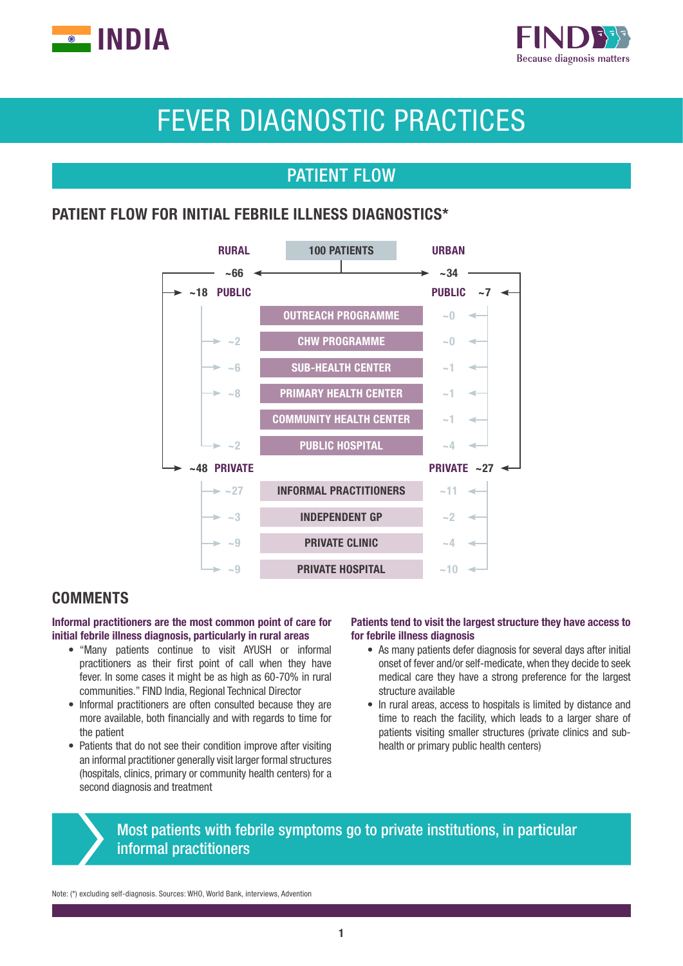



# FEVER DIAGNOSTIC PRACTICES

# PATIENT FLOW

# PATIENT FLOW FOR INITIAL FEBRILE ILLNESS DIAGNOSTICS\*



# **COMMENTS**

### Informal practitioners are the most common point of care for initial febrile illness diagnosis, particularly in rural areas

- "Many patients continue to visit AYUSH or informal practitioners as their first point of call when they have fever. In some cases it might be as high as 60-70% in rural communities." FIND India, Regional Technical Director
- Informal practitioners are often consulted because they are more available, both financially and with regards to time for the patient
- Patients that do not see their condition improve after visiting an informal practitioner generally visit larger formal structures (hospitals, clinics, primary or community health centers) for a second diagnosis and treatment

### Patients tend to visit the largest structure they have access to for febrile illness diagnosis

- As many patients defer diagnosis for several days after initial onset of fever and/or self-medicate, when they decide to seek medical care they have a strong preference for the largest structure available
- In rural areas, access to hospitals is limited by distance and time to reach the facility, which leads to a larger share of patients visiting smaller structures (private clinics and subhealth or primary public health centers)

# Most patients with febrile symptoms go to private institutions, in particular informal practitioners

Note: (\*) excluding self-diagnosis. Sources: WHO, World Bank, interviews, Advention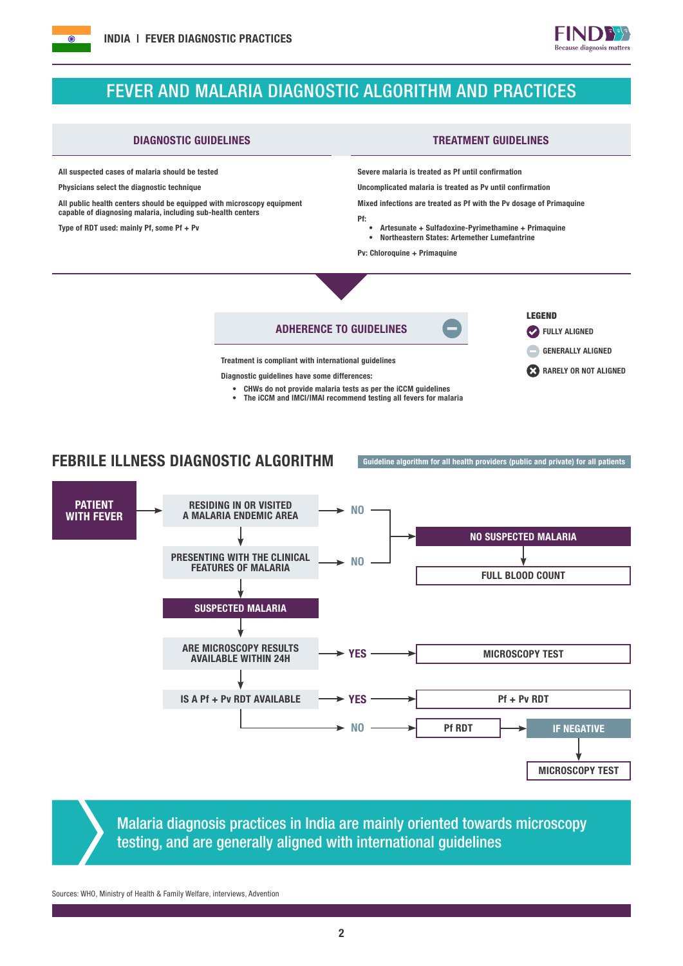



# FEVER AND MALARIA DIAGNOSTIC ALGORITHM AND PRACTICES

### DIAGNOSTIC GUIDELINES TREATMENT GUIDELINES

All suspected cases of malaria should be tested

Physicians select the diagnostic technique

All public health centers should be equipped with microscopy equipment capable of diagnosing malaria, including sub-health centers

Type of RDT used: mainly Pf, some Pf + Pv

Severe malaria is treated as Pf until confirmation

Uncomplicated malaria is treated as Pv until confirmation

Mixed infections are treated as Pf with the Pv dosage of Primaquine

- Pf:
	- Artesunate + Sulfadoxine-Pyrimethamine + Primaquine • Northeastern States: Artemether Lumefantrine

Pv: Chloroquine + Primaquine



Diagnostic guidelines have some differences:

- CHWs do not provide malaria tests as per the iCCM guidelines
- The iCCM and IMCI/IMAI recommend testing all fevers for malaria

## FEBRILE ILLNESS DIAGNOSTIC ALGORITHM Guideline algorithm for all health providers (public and private) for all patients



Malaria diagnosis practices in India are mainly oriented towards microscopy testing, and are generally aligned with international guidelines

Sources: WHO, Ministry of Health & Family Welfare, interviews, Advention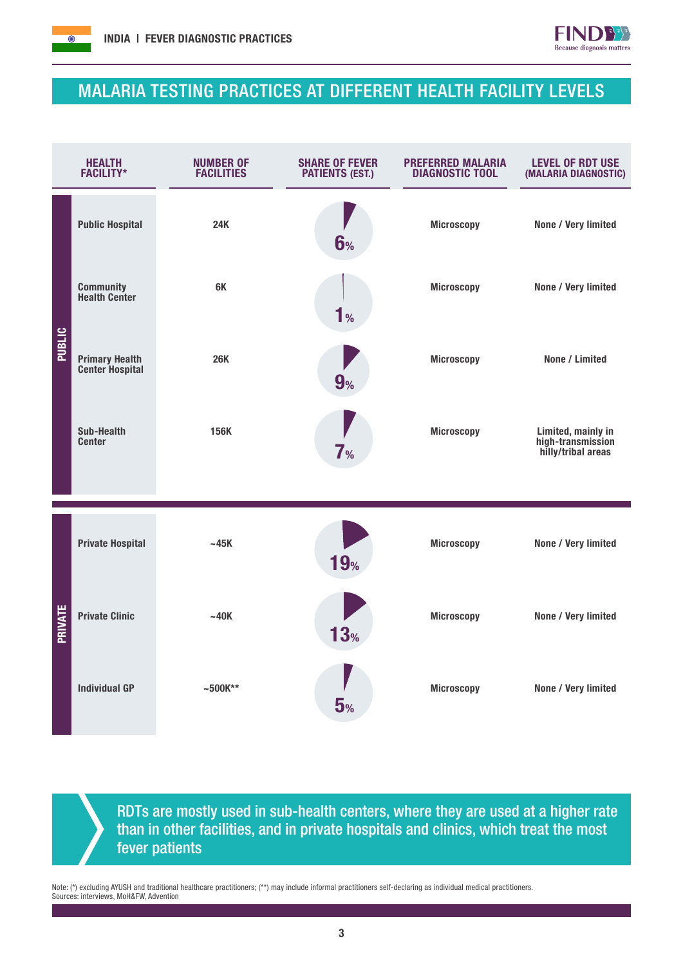



# MALARIA TESTING PRACTICES AT DIFFERENT HEALTH FACILITY LEVELS

| <b>HEALTH</b><br><b>FACILITY*</b> |                                                 | <b>NUMBER OF</b><br><b>FACILITIES</b> | <b>SHARE OF FEVER</b><br><b>PATIENTS (EST.)</b> | <b>PREFERRED MALARIA</b><br><b>DIAGNOSTIC TOOL</b> | <b>LEVEL OF RDT USE</b><br>(MALARIA DIAGNOSTIC)               |  |
|-----------------------------------|-------------------------------------------------|---------------------------------------|-------------------------------------------------|----------------------------------------------------|---------------------------------------------------------------|--|
|                                   | <b>Public Hospital</b>                          | <b>24K</b>                            | 6%                                              | <b>Microscopy</b>                                  | None / Very limited                                           |  |
| <b>PUBLIC</b>                     | <b>Community</b><br><b>Health Center</b>        | 6K                                    | 1 <sub>%</sub>                                  | <b>Microscopy</b>                                  | None / Very limited                                           |  |
|                                   | <b>Primary Health</b><br><b>Center Hospital</b> | <b>26K</b>                            | 9%                                              | <b>Microscopy</b>                                  | None / Limited                                                |  |
|                                   | Sub-Health<br><b>Center</b>                     | 156K                                  | 7 <sub>%</sub>                                  | <b>Microscopy</b>                                  | Limited, mainly in<br>high-transmission<br>hilly/tribal areas |  |
| PRIVATE                           | <b>Private Hospital</b>                         | $~-45K$                               | <b>19%</b>                                      | <b>Microscopy</b>                                  | None / Very limited                                           |  |
|                                   | <b>Private Clinic</b>                           | ~140K                                 | 13 <sub>%</sub>                                 | <b>Microscopy</b>                                  | None / Very limited                                           |  |
|                                   | <b>Individual GP</b>                            | $~500K^{**}$                          | 5%                                              | <b>Microscopy</b>                                  | None / Very limited                                           |  |

RDTs are mostly used in sub-health centers, where they are used at a higher rate than in other facilities, and in private hospitals and clinics, which treat the most fever patients

Note: (\*) excluding AYUSH and traditional healthcare practitioners; (\*\*) may include informal practitioners self-declaring as individual medical practitioners. Sources: interviews, MoH&FW, Advention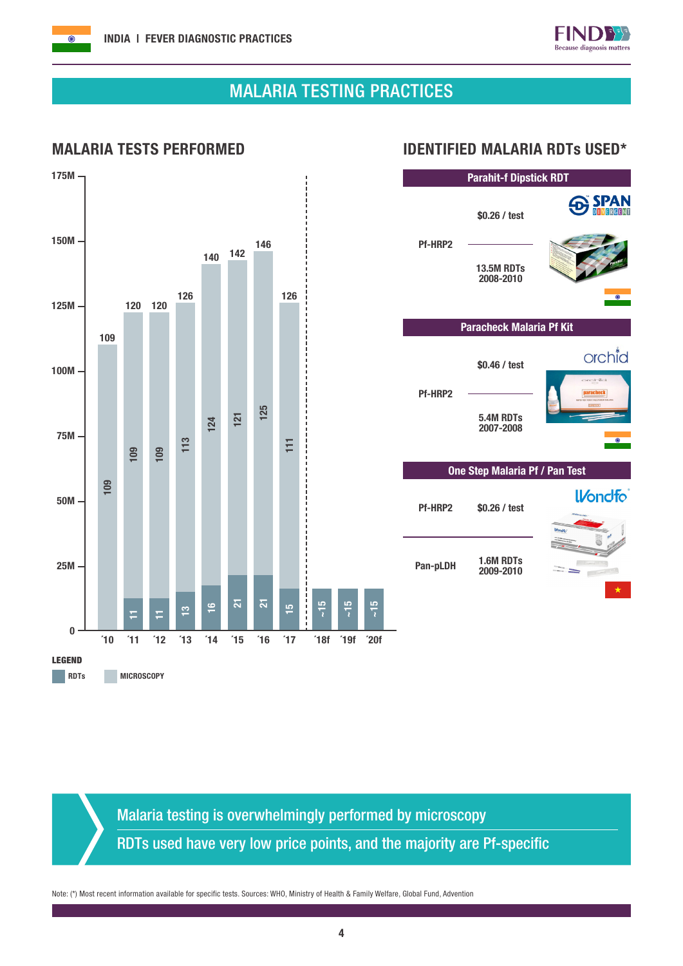$\overline{\odot}$ 



**SPAN** 

orchid

**IVondfo** 

# MALARIA TESTING PRACTICES

## MALARIA TESTS PERFORMED IDENTIFIED MALARIA RDTs USED\*



Malaria testing is overwhelmingly performed by microscopy RDTs used have very low price points, and the majority are Pf-specific

Note: (\*) Most recent information available for specific tests. Sources: WHO, Ministry of Health & Family Welfare, Global Fund, Advention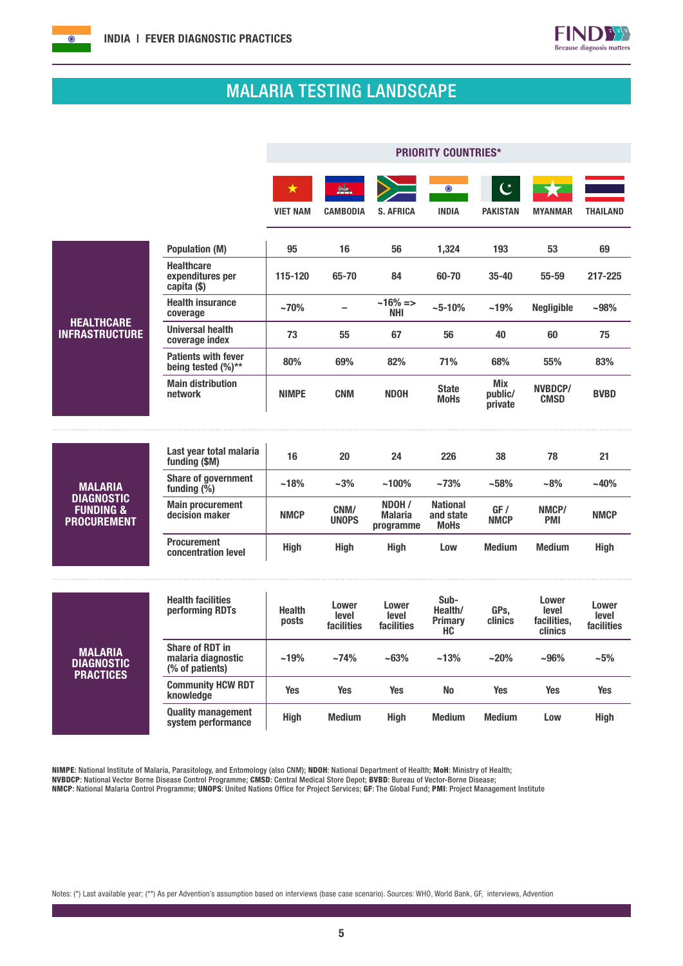

# MALARIA TESTING LANDSCAPE

|                                                                 |                                                                 | <b>PRIORITY COUNTRIES*</b>    |                              |                                       |                                             |                                  |                                          |                              |
|-----------------------------------------------------------------|-----------------------------------------------------------------|-------------------------------|------------------------------|---------------------------------------|---------------------------------------------|----------------------------------|------------------------------------------|------------------------------|
|                                                                 |                                                                 | $\bigstar$<br><b>VIET NAM</b> | <b>CAMBODIA</b>              | <b>S. AFRICA</b>                      | $\odot$<br><b>INDIA</b>                     | <b>PAKISTAN</b>                  | <b>MYANMAR</b>                           | <b>THAILAND</b>              |
|                                                                 | <b>Population (M)</b>                                           | 95                            | 16                           | 56                                    | 1,324                                       | 193                              | 53                                       | 69                           |
|                                                                 | <b>Healthcare</b><br>expenditures per<br>capita (\$)            | 115-120                       | 65-70                        | 84                                    | 60-70                                       | $35 - 40$                        | $55 - 59$                                | 217-225                      |
|                                                                 | <b>Health insurance</b><br>coverage                             | $~10\%$                       | $\equiv$                     | $~16\% = >$<br><b>NHI</b>             | $~10\%$                                     | $~19\%$                          | <b>Negligible</b>                        | ~98%                         |
| <b>HEALTHCARE</b><br><b>INFRASTRUCTURE</b>                      | <b>Universal health</b><br>coverage index                       | 73                            | 55                           | 67                                    | 56                                          | 40                               | 60                                       | 75                           |
|                                                                 | <b>Patients with fever</b><br>being tested (%)**                | 80%                           | 69%                          | 82%                                   | 71%                                         | 68%                              | 55%                                      | 83%                          |
|                                                                 | <b>Main distribution</b><br>network                             | <b>NIMPE</b>                  | <b>CNM</b>                   | <b>NDOH</b>                           | <b>State</b><br><b>MoHs</b>                 | <b>Mix</b><br>public/<br>private | NVBDCP/<br><b>CMSD</b>                   | <b>BVBD</b>                  |
|                                                                 |                                                                 |                               |                              |                                       |                                             |                                  |                                          |                              |
|                                                                 | Last year total malaria<br>funding (\$M)                        | 16                            | 20                           | 24                                    | 226                                         | 38                               | 78                                       | 21                           |
| <b>MALARIA</b>                                                  | <b>Share of government</b><br>funding $(\bar{\%})$              | ~18%                          | $-3%$                        | $~100\%$                              | ~173%                                       | ~158%                            | $-8%$                                    | $-40%$                       |
| <b>DIAGNOSTIC</b><br><b>FUNDING &amp;</b><br><b>PROCUREMENT</b> | <b>Main procurement</b><br>decision maker                       | <b>NMCP</b>                   | CNM/<br><b>UNOPS</b>         | NDOH /<br><b>Malaria</b><br>programme | <b>National</b><br>and state<br><b>MoHs</b> | GF/<br><b>NMCP</b>               | NMCP/<br><b>PMI</b>                      | <b>NMCP</b>                  |
|                                                                 | <b>Procurement</b><br>concentration level                       | <b>High</b>                   | <b>High</b>                  | High                                  | Low                                         | <b>Medium</b>                    | <b>Medium</b>                            | High                         |
|                                                                 | <b>Health facilities</b><br>performing RDTs                     | <b>Health</b><br>posts        | Lower<br>level<br>facilities | Lower<br>level<br>facilities          | Sub-<br>Health/<br><b>Primary</b><br>HC.    | GPs,<br>clinics                  | Lower<br>level<br>facilities,<br>clinics | Lower<br>level<br>facilities |
| <b>MALARIA</b><br>DIAGNOSTIC<br><b>PRACTICES</b>                | <b>Share of RDT in</b><br>malaria diagnostic<br>(% of patients) | ~19%                          | $~14\%$                      | ~163%                                 | $~13\%$                                     | $~20\%$                          | $-96%$                                   | $-5%$                        |
|                                                                 | <b>Community HCW RDT</b><br>knowledge                           | <b>Yes</b>                    | <b>Yes</b>                   | <b>Yes</b>                            | <b>No</b>                                   | <b>Yes</b>                       | <b>Yes</b>                               | <b>Yes</b>                   |
|                                                                 | <b>Quality management</b><br>system performance                 | <b>High</b>                   | <b>Medium</b>                | <b>High</b>                           | <b>Medium</b>                               | <b>Medium</b>                    | Low                                      | High                         |

NIMPE: National Institute of Malaria, Parasitology, and Entomology (also CNM); NDOH: National Department of Health; MoH: Ministry of Health; NVBDCP: National Vector Borne Disease Control Programme; CMSD: Central Medical Store Depot; BVBD: Bureau of Vector-Borne Disease;

NMCP: National Malaria Control Programme; UNOPS: United Nations Office for Project Services; GF: The Global Fund; PMI: Project Management Institute

Notes: (\*) Last available year; (\*\*) As per Advention's assumption based on interviews (base case scenario). Sources: WHO, World Bank, GF, interviews, Advention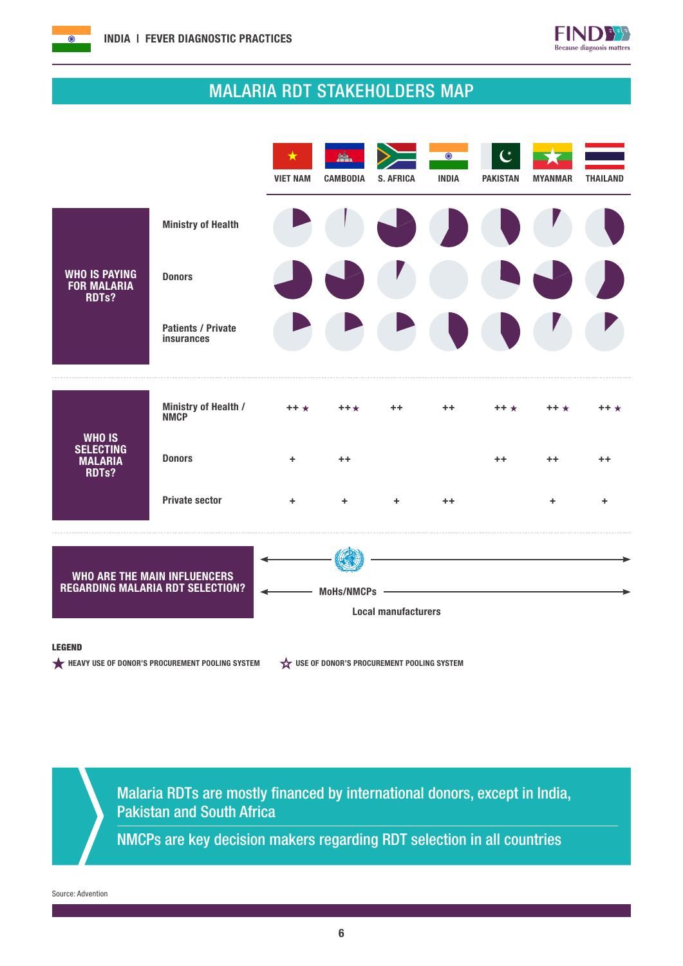



# MALARIA RDT STAKEHOLDERS MAP



### LEGEND

HEAVY USE OF DONOR'S PROCUREMENT POOLING SYSTEM  $\overleftrightarrow{\mathbf{x}}$  use of Donor's procurement pooling system

Malaria RDTs are mostly financed by international donors, except in India, Pakistan and South Africa

NMCPs are key decision makers regarding RDT selection in all countries

Source: Advention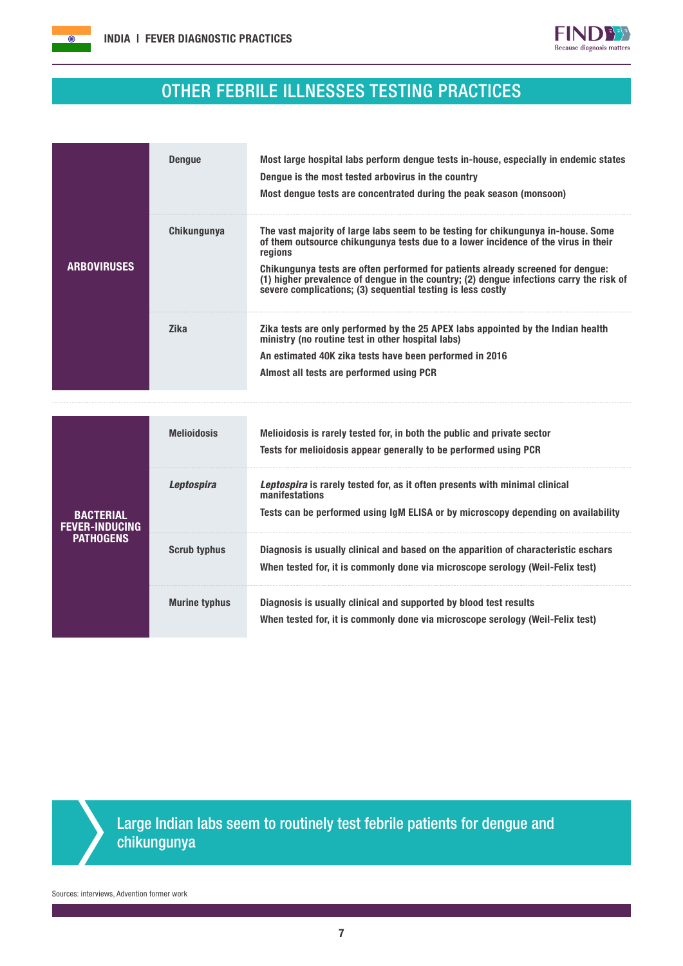



# OTHER FEBRILE ILLNESSES TESTING PRACTICES

|                    | <b>Dengue</b> | Most large hospital labs perform dengue tests in-house, especially in endemic states<br>Dengue is the most tested arbovirus in the country<br>Most dengue tests are concentrated during the peak season (monsoon)                                                                                                                                                                                                               |  |  |  |
|--------------------|---------------|---------------------------------------------------------------------------------------------------------------------------------------------------------------------------------------------------------------------------------------------------------------------------------------------------------------------------------------------------------------------------------------------------------------------------------|--|--|--|
| <b>ARBOVIRUSES</b> | Chikungunya   | The vast majority of large labs seem to be testing for chikungunya in-house. Some<br>of them outsource chikungunya tests due to a lower incidence of the virus in their<br>regions<br>Chikungunya tests are often performed for patients already screened for dengue:<br>(1) higher prevalence of dengue in the country; (2) dengue infections carry the risk of<br>severe complications; (3) sequential testing is less costly |  |  |  |
|                    | <b>Zika</b>   | Zika tests are only performed by the 25 APEX labs appointed by the Indian health<br>ministry (no routine test in other hospital labs)<br>An estimated 40K zika tests have been performed in 2016<br>Almost all tests are performed using PCR                                                                                                                                                                                    |  |  |  |

|                                           | <b>Melioidosis</b>   | Melioidosis is rarely tested for, in both the public and private sector<br>Tests for melioidosis appear generally to be performed using PCR                                        |
|-------------------------------------------|----------------------|------------------------------------------------------------------------------------------------------------------------------------------------------------------------------------|
| <b>BACTERIAL</b><br><b>FEVER-INDUCING</b> | <b>Leptospira</b>    | Leptospira is rarely tested for, as it often presents with minimal clinical<br>manifestations<br>Tests can be performed using IqM ELISA or by microscopy depending on availability |
| <b>PATHOGENS</b>                          | <b>Scrub typhus</b>  | Diagnosis is usually clinical and based on the apparition of characteristic eschars<br>When tested for, it is commonly done via microscope serology (Weil-Felix test)              |
|                                           | <b>Murine typhus</b> | Diagnosis is usually clinical and supported by blood test results<br>When tested for, it is commonly done via microscope serology (Weil-Felix test)                                |



Large Indian labs seem to routinely test febrile patients for dengue and chikungunya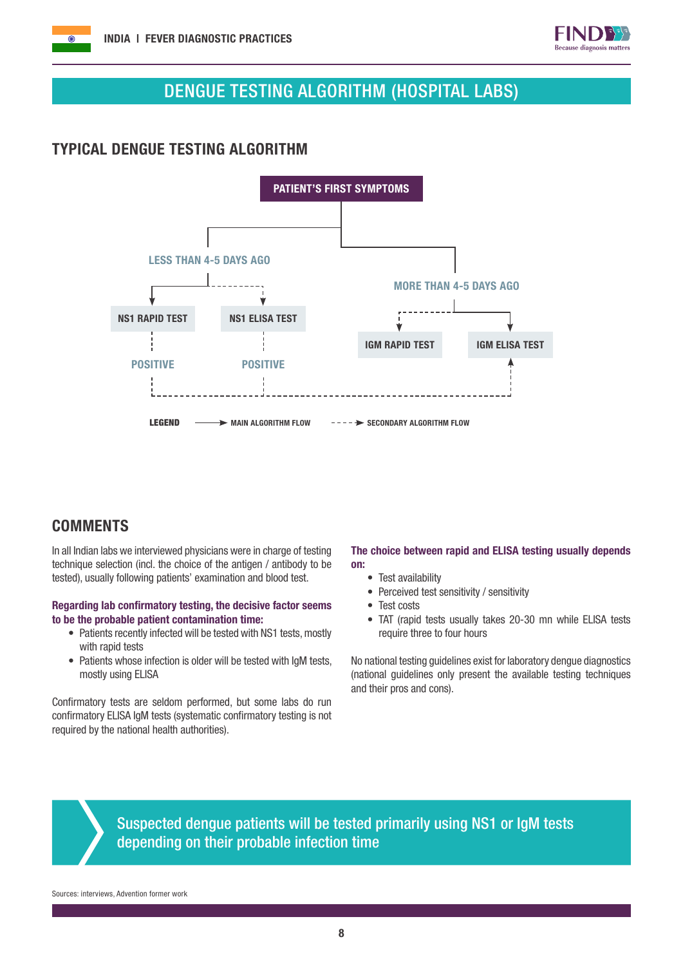



# DENGUE TESTING ALGORITHM (HOSPITAL LABS)

# TYPICAL DENGUE TESTING ALGORITHM



# **COMMENTS**

In all Indian labs we interviewed physicians were in charge of testing technique selection (incl. the choice of the antigen / antibody to be tested), usually following patients' examination and blood test.

### Regarding lab confirmatory testing, the decisive factor seems to be the probable patient contamination time:

- Patients recently infected will be tested with NS1 tests, mostly with rapid tests
- Patients whose infection is older will be tested with IgM tests, mostly using ELISA

Confirmatory tests are seldom performed, but some labs do run confirmatory ELISA IgM tests (systematic confirmatory testing is not required by the national health authorities).

### The choice between rapid and ELISA testing usually depends on:

- Test availability
- Perceived test sensitivity / sensitivity
- Test costs
- TAT (rapid tests usually takes 20-30 mn while ELISA tests require three to four hours

No national testing guidelines exist for laboratory dengue diagnostics (national guidelines only present the available testing techniques and their pros and cons).

Suspected dengue patients will be tested primarily using NS1 or IgM tests depending on their probable infection time

Sources: interviews, Advention former work